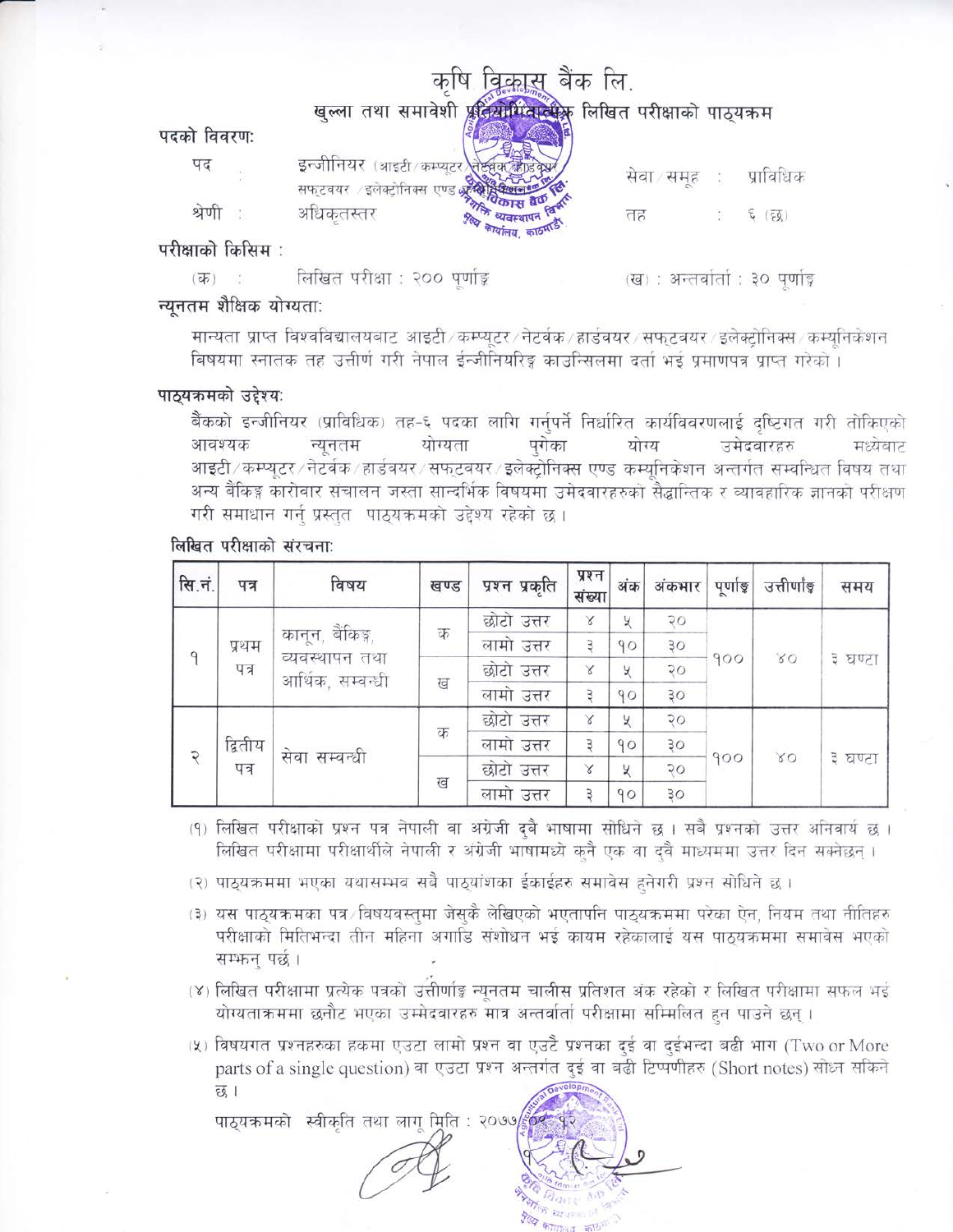|                 |                                                                                                              | a ch           | लि                        |           |
|-----------------|--------------------------------------------------------------------------------------------------------------|----------------|---------------------------|-----------|
|                 | खुल्ला तथा समावेशी                                                                                           | तियोगितातीक    | लिखित परीक्षाको पाठ्यक्रम |           |
| पदको विवरण:     |                                                                                                              |                |                           |           |
| पद              | इन्जीनियर (आइटी/कम्प्यूटर<br>्यान्तः ।<br>सफ्टवयर /इलेक्ट्रोनिक्स एण्ड अ <b>र्हेक्ष्णुद्रिय्या</b><br>स्रोति |                | सेवा समूह                 | प्राविधिक |
| श्रणा           | अधिकृतस्तर                                                                                                   | <b>Alley -</b> | तह                        | (55)      |
| परीक्षाको किसिम |                                                                                                              |                |                           |           |

लिखित परीक्षा : २०० पर्णाङ्ग  $(\overline{ab})$ 

(ख) : अन्तर्वार्ता : ३० पर्णाड़

## न्यूनतम शैक्षिक योग्यताः

मान्यता प्राप्त विश्वविद्यालयबाट आइटी कम्प्युटर /नेटर्वक /हार्डवयर /सफटवयर /इलेक्टोनिक्स /कम्यनिकेशन बिषयमा स्नातक तह उत्तीर्ण गरी नेपाल ईन्जीनियरिङ्ग काउन्सिलमा दर्ता भई प्रमाणपत्र प्राप्त गरेको ।

# पाठ्यक्रमको उद्देश्य:

बैंकको इन्जीनियर (प्राविधिक) तह-६ पदका लागि गर्नपर्ने निर्धारित कार्यविवरणलाई दष्टिगत गरी तोकिएको आवश्यक न्युनतम योग्यता पुगेका योग्य उमेदवारहरु मध्येबाट आइटी ⁄ कम्प्यूटर ⁄ नेटर्वक ⁄ हार्डवयर ⁄ सफुटवयर ⁄ इलेक्टोनिक्स एण्ड कम्यनिकेशन अन्तर्गत सम्वन्धित विषय तथा अन्य बैंकिङ्ग कारोवार संचालन जस्ता सान्दर्भिक विषयमा उमेदवारहरुको सैद्धान्तिक र व्यावहारिक ज्ञानको परीक्षण गरी समाधान गर्न प्रस्तत पाठयक्रमको उद्देश्य रहेको छ।

# लिखित परीक्षाको संरचना:

| सि.नं. | पत्र    | विषय                               | खण्ड | प्रश्न प्रकृति | प्रश्न  <br>संख्या | अंक | अंकभार     | पूर्णाङ्क | उत्तीर्णाङ्क | समय       |  |  |  |
|--------|---------|------------------------------------|------|----------------|--------------------|-----|------------|-----------|--------------|-----------|--|--|--|
|        |         |                                    | क    | छोटो उत्तर     | Χ                  | У   | २०         |           |              |           |  |  |  |
|        | प्रथम   | कानून, बैंकिङ्ग,<br>व्यवस्थापन तथा |      | लामो उत्तर     | З                  | 90  | 30         |           | 80           |           |  |  |  |
|        | पत्र    | आर्थिक, सम्बन्धी                   |      | छोटो उत्तर     | Χ                  | X   | २०         | 900       |              | ३ घण्टा   |  |  |  |
|        |         |                                    |      |                |                    | ख   | लामो उत्तर | Э         | 90           | 30        |  |  |  |
|        |         |                                    |      | छोटो उत्तर     | X                  | У   | 70         |           |              |           |  |  |  |
|        | द्वितीय | सेवा सम्बन्धी                      | क    | लामो उत्तर     | З                  | 90  | 30         |           |              |           |  |  |  |
|        | पत्र    |                                    |      | छोटो उत्तर     | ४                  | X   | २०         | 900       | $\propto$ O  | ३ घण्टा । |  |  |  |
|        |         |                                    | ख    | लामो उत्तर     |                    | 90  | 30         |           |              |           |  |  |  |

(१) लिखित परीक्षाको प्रश्न पत्र नेपाली वा अंग्रेजी दुबै भाषामा सोधिने छ । सबै प्रश्नको उत्तर अनिवार्य छ । लिखित परीक्षामा परीक्षार्थीले नेपाली र अंग्रेजी भाषामध्ये कुनै एक वा दवै माध्यममा उत्तर दिन सक्नेछन् ।

(२) पाठ्यक्रममा भएका यथासम्भव सबै पाठ्यांशका ईकाईहरु समावेस हुनेगरी प्रश्न सोधिने छ ।

- (३) यस पाठयक्रमका पत्र विषयवस्तमा जेसकै लेखिएको भएतापनि पाठयक्रममा परेका ऐन, नियम तथा नीतिहरु परीक्षाको मितिभन्दा तीन महिना अगाडि संशोधन भई कायम रहेकालाई यस पाठयक्रममा समावेस भएको सम्भन्न पर्छ।
- (४) लिखित परीक्षामा प्रत्येक पत्रको उत्तीर्णाङ्क न्युनतम चालीस प्रतिशत अंक रहेको र लिखित परीक्षामा सफल भई योग्यताक्रममा छनौट भएका उम्मेदवारहरु मात्र अन्तर्वार्ता परीक्षामा सम्मिलित हुन पाउने छन् ।
- (५) विषयगत प्रश्नहरुका हकमा एउटा लामो प्रश्न वा एउटै प्रश्नका दई वा दईभन्दा बढी भाग (Two or More parts of a single question) वा एउटा प्रश्न अन्तर्गत दई वा बढी टिप्पणीहरु (Short notes) सोध्न सकिने छ।

पाठयक्रमको स्वीकति तथा लाग मिति : २०७७/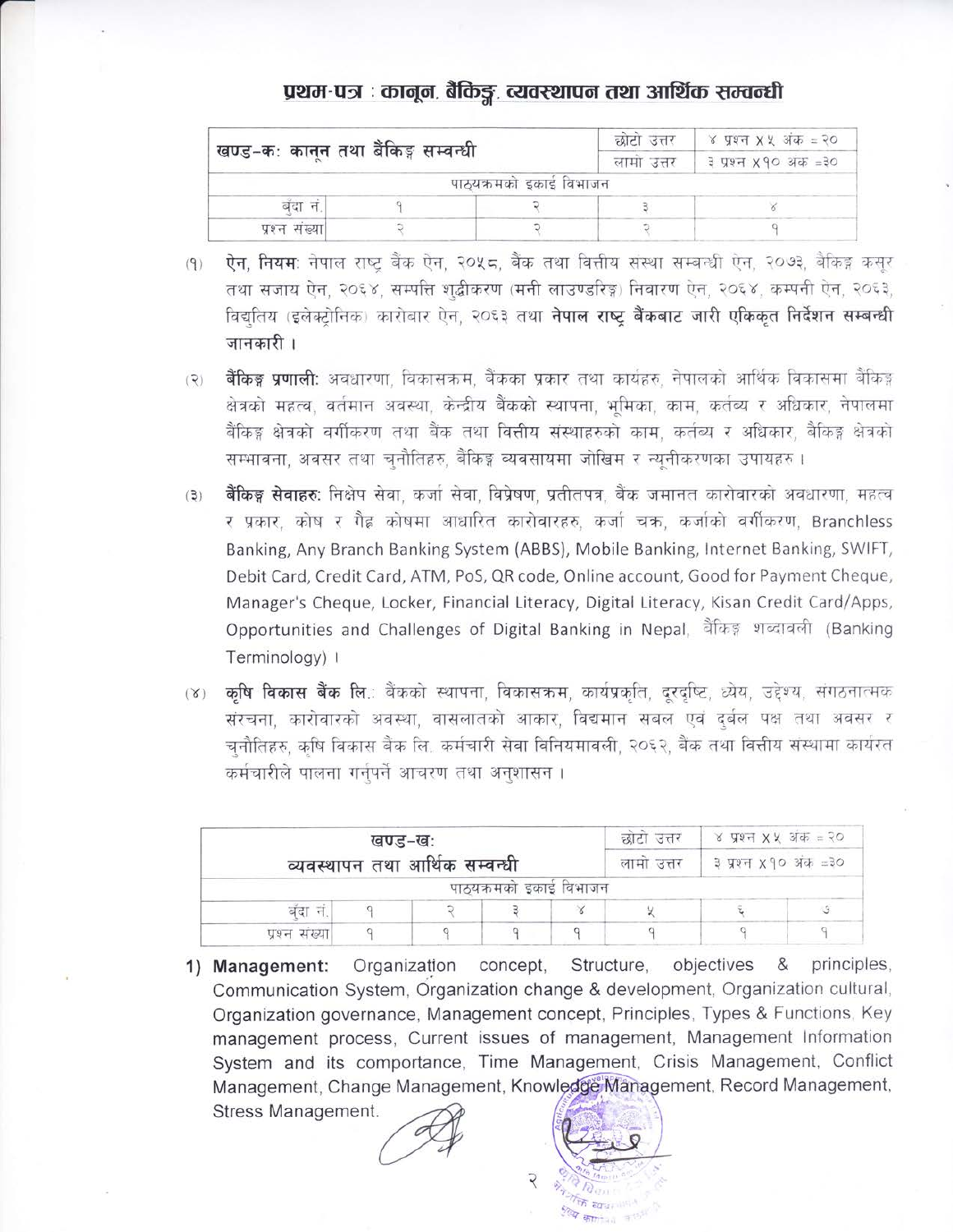# प्रथम-पत्र : कानून, बैकिङ्ग, व्यवस्थापन तथा आर्थिक सम्वन्धी

|                                      |  | छाटा उत्तर              | े ४ प्रश्न X ५ अंक = २० |  |
|--------------------------------------|--|-------------------------|-------------------------|--|
| `खण्ड−कः कानून तथा बैंकिङ्ग सम्वन्धी |  | लामा उत्तर              | ३ प्रश्न ४१० अक =३०     |  |
|                                      |  | पाठ्यक्रमको इकाई विभाजन |                         |  |
| बंदा न.                              |  |                         |                         |  |
| प्रश्न संख्या।                       |  |                         |                         |  |

**ऐन, नियम**: नेपाल राष्ट्र बैंक ऐन, २०५८, बैंक तथा वित्तीय संस्था सम्बन्धी ऐन, २०७३, बैंकिङ्ग कसुर  $(9)$ तथा सजाय ऐन, २०६४, सम्पत्ति शद्बीकरण (मनी लाउण्डरिङ्ग) निवारण ऐन, २०६४, कम्पनी ऐन, २०६३, विद्यतिय (इलेक्टोनिक) कारोबार ऐन, २०६३ तथा **नेपाल राष्ट बैंकबाट जारी एकिकत निर्देशन सम्बन्धी** जानकारी ।

- **बैंकिङ्ग प्रणाली:** अवधारणा, विकासक्रम, बैंकका प्रकार तथा कार्यहरु, नेपालको आर्थिक विकासमा बैंकिङ्ग  $(2)$ क्षेत्रको महत्व, वर्तमान अवस्था, केन्द्रीय बैंकको स्थापना, भमिका, काम, कर्तब्य र अधिकार, नेपालमा बैंकिङ्ग क्षेत्रको वर्गीकरण तथा बैंक तथा वित्तीय संस्थाहरुको काम, कर्तव्य र अधिकार, बैंकिङ्ग क्षेत्रको सम्भावना, अवसर तथा चुनौतिहरु, बैंकिङ्ग व्यवसायमा जोखिम र न्यूनीकरणका उपायहरु ।
- **बैंकिङ्ग सेवाहरुः** निक्षेप सेवा, कर्जा सेवा, विप्रेषण, प्रतीतपत्र, बैंक जमानत कारोवारको अवधारणा, महत्व  $(3)$ र प्रकार, कोष र गैह्र कोषमा आधारित कारोवारहरु, कर्जा चक्र, कर्जाको वर्गीकरण, Branchless Banking, Any Branch Banking System (ABBS), Mobile Banking, Internet Banking, SWIFT, Debit Card, Credit Card, ATM, PoS, QR code, Online account, Good for Payment Cheque, Manager's Cheque, Locker, Financial Literacy, Digital Literacy, Kisan Credit Card/Apps, Opportunities and Challenges of Digital Banking in Nepal, बैंकिङ्ग शब्दावली (Banking Terminology) |
- (४) कृषि विकास बैंक लि.: बैंकको स्थापना, विकासक्रम, कार्यप्रकृति, दूरदृष्टि, ध्येय, उद्देश्य, संगठनात्मक संरचना, कारोवारको अवस्था, वासलातको आकार, विद्यमान सबल एवं दुर्बल पक्ष तथा अवसर र चनौतिहरु, कृषि विकास बैंक लि. कर्मचारी सेवा विनियमावली, २०६२, बैंक तथा वित्तीय संस्थामा कार्यरत कर्मचारीले पालना गर्नुपर्ने आचरण तथा अनुशासन ।

|                | खण्ड-खः |                                | छोटो उत्तर              | ४ प्रश्न X X अक $=$ २० |            |                      |  |
|----------------|---------|--------------------------------|-------------------------|------------------------|------------|----------------------|--|
|                |         | व्यवस्थापन तथा आर्थिक सम्वन्धी |                         |                        | लामा उत्तर | ३ प्रश्न ४१० अंक =३० |  |
|                |         |                                | पाठ्यक्रमको इकाई विभाजन |                        |            |                      |  |
| बंदा नं.       |         |                                |                         |                        |            |                      |  |
| प्रश्न संख्या। |         |                                |                         |                        |            |                      |  |

Organization 1) Management: concept, Structure, objectives & principles. Communication System, Organization change & development, Organization cultural, Organization governance, Management concept, Principles, Types & Functions, Key management process, Current issues of management, Management Information System and its comportance, Time Management, Crisis Management, Conflict Management, Change Management, Knowledge Management, Record Management,

Stress Management.

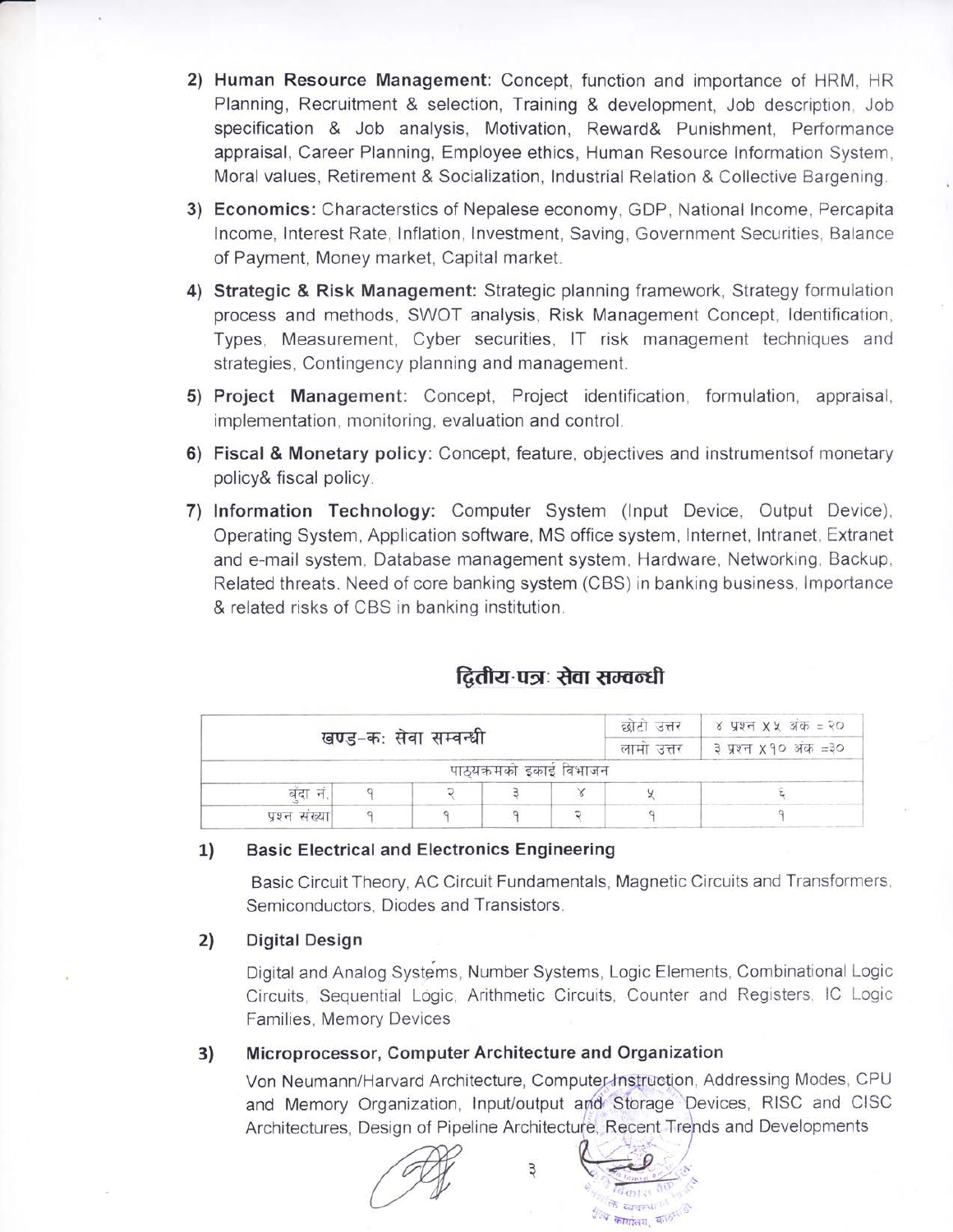- 2) Human Resource Management: Concept, function and importance of HRM, HR Planning, Recruitment & selection, Training & development, Job description, Job specification & Job analysis, Motivation, Reward& Punishment, Performance appraisal, Career Planning, Employee ethics, Human Resource Information System, Moral values, Retirement & Socialization, Industrial Relation & Collective Bargening.
- 3) Economics: Characterstics of Nepalese economy, GDP, National Income, Percapita Income, Interest Rate, Inflation, Investment, Saving, Government Securities, Balance of Payment, Money market, Capital market.
- 4) Strategic & Risk Management: Strategic planning framework, Strategy formulation process and methods, SWOT analysis, Risk Management Concept, Identification, Types, Measurement, Cyber securities, IT risk management techniques and strategies, Contingency planning and management.
- 5) Project Management: Concept, Project identification, formulation, appraisal, implementation, monitoring, evaluation and control.
- 6) Fiscal & Monetary policy: Concept, feature, objectives and instruments of monetary policy& fiscal policy.
- 7) Information Technology: Computer System (Input Device, Output Device), Operating System, Application software, MS office system, Internet, Intranet, Extranet and e-mail system. Database management system. Hardware, Networking, Backup, Related threats. Need of core banking system (CBS) in banking business, Importance & related risks of CBS in banking institution.

| द्वितीय-पत्रः सेवा सम्वन्धी |  |
|-----------------------------|--|
|                             |  |

|               |                       | छोटो उत्तर              | ४ प्रश्न X X अंक = २० |            |                     |
|---------------|-----------------------|-------------------------|-----------------------|------------|---------------------|
|               | खण्ड-कः सेवा सम्वन्धी |                         |                       | लामा उत्तर | ३ प्रश्न ४१० अक =३० |
|               |                       | पाठ्यक्रमको इकाइ विभाजन |                       |            |                     |
| बंदा न        |                       |                         |                       |            |                     |
| प्रश्न संख्या |                       |                         |                       |            |                     |

#### 1) **Basic Electrical and Electronics Engineering**

Basic Circuit Theory, AC Circuit Fundamentals, Magnetic Circuits and Transformers, Semiconductors, Diodes and Transistors.

#### $2)$ **Digital Design**

Digital and Analog Systems, Number Systems, Logic Elements, Combinational Logic Circuits, Sequential Logic, Arithmetic Circuits, Counter and Registers, IC Logic Families, Memory Devices

#### Microprocessor, Computer Architecture and Organization 3)

Von Neumann/Harvard Architecture, Computer-Instruction, Addressing Modes, CPU and Memory Organization, Input/output and Storage Devices, RISC and CISC Architectures, Design of Pipeline Architecture, Recent Trends and Developments

> के द्यावस्था <sup>हर्</sup> य कार्यालय, काठमाडी

Э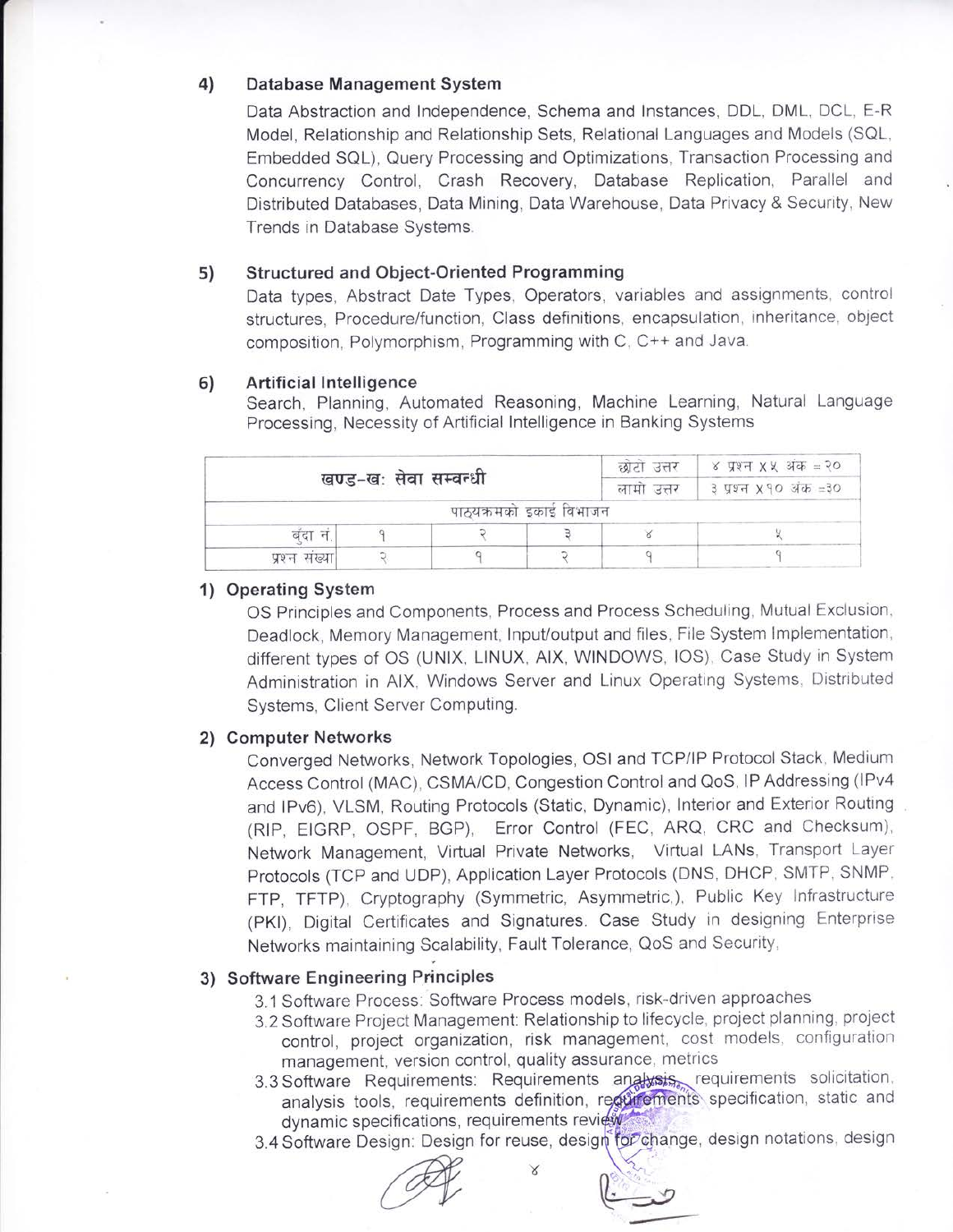#### 4) Database Management System

Data Abstraction and Independence, Schema and Instances, DDL, DML, DCL, E-R Model, Relationship and Relationship Sets, Relational Languages and Models (SQL, Embedded SQL), Query Processing and Optimizations, Transaction Processing and Concurrency Control, Crash Recovery, Database Replication, Parallel and Distributed Databases, Data Mining, Data Warehouse, Data Privacy & Security, New Trends in Database Systems.

#### 5) **Structured and Object-Oriented Programming**

Data types, Abstract Date Types, Operators, variables and assignments, control structures. Procedure/function, Class definitions, encapsulation, inheritance, object composition. Polymorphism, Programming with C, C++ and Java.

#### 6) **Artificial Intelligence**

Search, Planning, Automated Reasoning, Machine Learning, Natural Language Processing, Necessity of Artificial Intelligence in Banking Systems

|               | खण्ड-खः सेवा सम्वन्धी |                         | छोटी उत्तर<br>लामा उत्तर | ४ प्रश्न XX अक $=$ २०<br>३ प्रश्न ४१० अंक =३० |  |
|---------------|-----------------------|-------------------------|--------------------------|-----------------------------------------------|--|
|               |                       | पाठ्यक्रमको इकाई विभाजन |                          |                                               |  |
| बदा न         |                       |                         |                          |                                               |  |
| प्रश्न संख्या |                       |                         |                          |                                               |  |

### 1) Operating System

OS Principles and Components, Process and Process Scheduling, Mutual Exclusion, Deadlock, Memory Management, Input/output and files, File System Implementation, different types of OS (UNIX, LINUX, AIX, WINDOWS, IOS), Case Study in System Administration in AIX, Windows Server and Linux Operating Systems, Distributed Systems, Client Server Computing.

### 2) Computer Networks

Converged Networks, Network Topologies, OSI and TCP/IP Protocol Stack, Medium Access Control (MAC), CSMA/CD, Congestion Control and QoS, IP Addressing (IPv4 and IPv6), VLSM, Routing Protocols (Static, Dynamic), Interior and Exterior Routing (RIP, EIGRP, OSPF, BGP), Error Control (FEC, ARQ, CRC and Checksum), Network Management, Virtual Private Networks, Virtual LANs, Transport Layer Protocols (TCP and UDP), Application Layer Protocols (DNS, DHCP, SMTP, SNMP, FTP, TFTP), Cryptography (Symmetric, Asymmetric,), Public Key Infrastructure (PKI), Digital Certificates and Signatures. Case Study in designing Enterprise Networks maintaining Scalability, Fault Tolerance, QoS and Security,

# 3) Software Engineering Principles

3.1 Software Process: Software Process models, risk-driven approaches

Χ

- 3.2 Software Project Management: Relationship to lifecycle, project planning, project control, project organization, risk management, cost models, configuration management, version control, quality assurance, metrics
- 3.3 Software Requirements: Requirements analysis requirements solicitation. analysis tools, requirements definition, requirements specification, static and dynamic specifications, requirements review
- 3.4 Software Design: Design for reuse, design for change, design notations, design